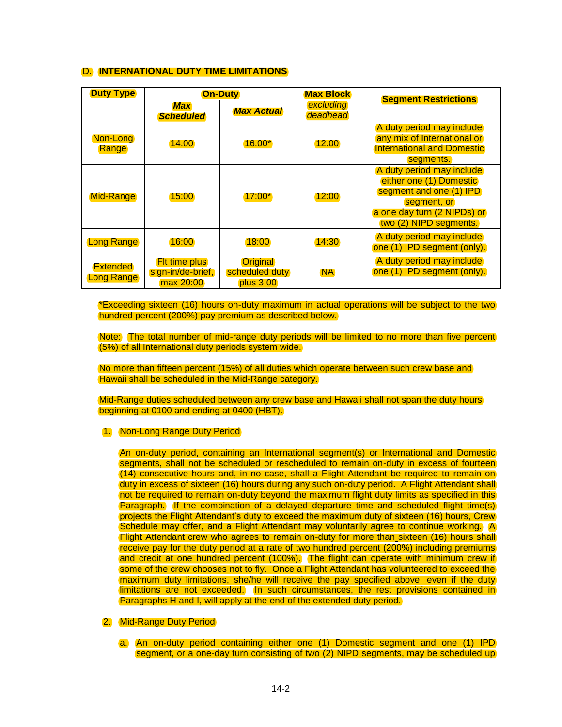## D. **INTERNATIONAL DUTY TIME LIMITATIONS**

| <b>Duty Type</b>                     | <b>On-Duty</b>                                         |                                                | <b>Max Block</b>      | <b>Segment Restrictions</b>                                                                                                                             |
|--------------------------------------|--------------------------------------------------------|------------------------------------------------|-----------------------|---------------------------------------------------------------------------------------------------------------------------------------------------------|
|                                      | <b>Max</b><br><b>Scheduled</b>                         | <b>Max Actual</b>                              | excluding<br>deadhead |                                                                                                                                                         |
| Non-Long<br>Range                    | 14:00                                                  | $16:00*$                                       | 12:00                 | A duty period may include<br>any mix of International or<br><b>International and Domestic</b><br>segments.                                              |
| <b>Mid-Range</b>                     | 15:00                                                  | $17:00^*$                                      | 12:00                 | A duty period may include<br>either one (1) Domestic<br>segment and one (1) IPD<br>segment, or<br>a one day turn (2 NIPDs) or<br>two (2) NIPD segments. |
| <b>Long Range</b>                    | 16:00                                                  | 18:00                                          | 14:30                 | A duty period may include<br>one (1) IPD segment (only).                                                                                                |
| <b>Extended</b><br><b>Long Range</b> | <b>Fit time plus</b><br>sign-in/de-brief,<br>max 20:00 | <b>Original</b><br>scheduled duty<br>plus 3:00 | <b>NA</b>             | A duty period may include<br>one (1) IPD segment (only).                                                                                                |

\*Exceeding sixteen (16) hours on-duty maximum in actual operations will be subject to the two hundred percent (200%) pay premium as described below.

Note: The total number of mid-range duty periods will be limited to no more than five percent (5%) of all International duty periods system wide.

No more than fifteen percent (15%) of all duties which operate between such crew base and Hawaii shall be scheduled in the Mid-Range category.

Mid-Range duties scheduled between any crew base and Hawaii shall not span the duty hours beginning at 0100 and ending at 0400 (HBT).

## 1. Non-Long Range Duty Period

An on-duty period, containing an International segment(s) or International and Domestic segments, shall not be scheduled or rescheduled to remain on-duty in excess of fourteen (14) consecutive hours and, in no case, shall a Flight Attendant be required to remain on duty in excess of sixteen (16) hours during any such on-duty period. A Flight Attendant shall not be required to remain on-duty beyond the maximum flight duty limits as specified in this Paragraph. If the combination of a delayed departure time and scheduled flight time(s) projects the Flight Attendant's duty to exceed the maximum duty of sixteen (16) hours, Crew Schedule may offer, and a Flight Attendant may voluntarily agree to continue working. A Flight Attendant crew who agrees to remain on-duty for more than sixteen (16) hours shall receive pay for the duty period at a rate of two hundred percent (200%) including premiums and credit at one hundred percent (100%). The flight can operate with minimum crew if some of the crew chooses not to fly. Once a Flight Attendant has volunteered to exceed the maximum duty limitations, she/he will receive the pay specified above, even if the duty limitations are not exceeded. In such circumstances, the rest provisions contained in Paragraphs H and I, will apply at the end of the extended duty period.

## 2. Mid-Range Duty Period

a. An on-duty period containing either one (1) Domestic segment and one (1) IPD segment, or a one-day turn consisting of two (2) NIPD segments, may be scheduled up